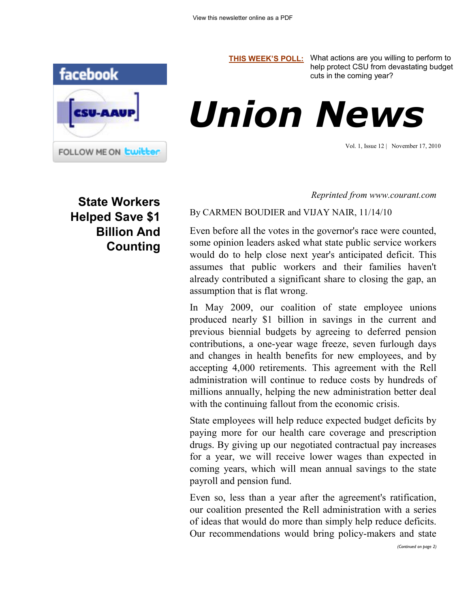

**[THIS WEEK'S POLL:](http://www.csuaaup.org/)** What actions are you willing to perform to help protect CSU from devastating budget cuts in the coming year?



Vol. 1, Issue 12 | November 17, 2010

**State Workers Helped Save \$1 Billion And Counting** *Reprinted from www.courant.com*

By CARMEN BOUDIER and VIJAY NAIR, 11/14/10

Even before all the votes in the governor's race were counted, some opinion leaders asked what state public service workers would do to help close next year's anticipated deficit. This assumes that public workers and their families haven't already contributed a significant share to closing the gap, an assumption that is flat wrong.

In May 2009, our coalition of state employee unions produced nearly \$1 billion in savings in the current and previous biennial budgets by agreeing to deferred pension contributions, a one-year wage freeze, seven furlough days and changes in health benefits for new employees, and by accepting 4,000 retirements. This agreement with the Rell administration will continue to reduce costs by hundreds of millions annually, helping the new administration better deal with the continuing fallout from the economic crisis.

State employees will help reduce expected budget deficits by paying more for our health care coverage and prescription drugs. By giving up our negotiated contractual pay increases for a year, we will receive lower wages than expected in coming years, which will mean annual savings to the state payroll and pension fund.

Even so, less than a year after the agreement's ratification, our coalition presented the Rell administration with a series of ideas that would do more than simply help reduce deficits. Our recommendations would bring policy-makers and state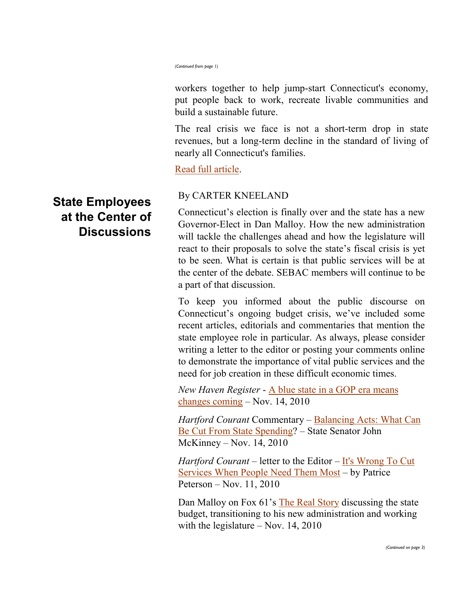*(Continued from page 1)*

workers together to help jump-start Connecticut's economy, put people back to work, recreate livable communities and build a sustainable future.

The real crisis we face is not a short-term drop in state revenues, but a long-term decline in the standard of living of nearly all Connecticut's families.

[Read full article.](http://www.courant.com/news/opinion/hc-op-boudier-nair-unions-state-budge20101114,0,5795943.story)

## By CARTER KNEELAND

Connecticut's election is finally over and the state has a new Governor-Elect in Dan Malloy. How the new administration will tackle the challenges ahead and how the legislature will react to their proposals to solve the state's fiscal crisis is yet to be seen. What is certain is that public services will be at the center of the debate. SEBAC members will continue to be a part of that discussion.

To keep you informed about the public discourse on Connecticut's ongoing budget crisis, we've included some recent articles, editorials and commentaries that mention the state employee role in particular. As always, please consider writing a letter to the editor or posting your comments online to demonstrate the importance of vital public services and the need for job creation in these difficult economic times.

*New Haven Register* - [A blue state in a GOP era means](http://www.nhregister.com/articles/2010/11/14/news/doc4cdf652fd2fd5490247483.txt?viewmode=fullstory)  [changes coming](http://www.nhregister.com/articles/2010/11/14/news/doc4cdf652fd2fd5490247483.txt?viewmode=fullstory) – Nov. 14, 2010

*Hartford Courant* Commentary – [Balancing Acts: What Can](http://www.courant.com/news/opinion/hc-op-mckinney-must-cut-state-spendin20101114,0,3727564.story)  [Be Cut From State Spending?](http://www.courant.com/news/opinion/hc-op-mckinney-must-cut-state-spendin20101114,0,3727564.story) – State Senator John McKinney – Nov. 14, 2010

*Hartford Courant* – letter to the Editor – [It's Wrong To Cut](http://www.courant.com/news/opinion/letters/hc-le-peterson-union-1111-20101111,0,1330113.story)  [Services When People Need Them Most](http://www.courant.com/news/opinion/letters/hc-le-peterson-union-1111-20101111,0,1330113.story) – by Patrice Peterson – Nov. 11, 2010

Dan Malloy on Fox 61's [The Real Story](http://www.ctnow.com/news/therealstory/ctn-trs-1111,0,753041.story) discussing the state budget, transitioning to his new administration and working with the legislature – Nov. 14, 2010

## **State Employees at the Center of Discussions**